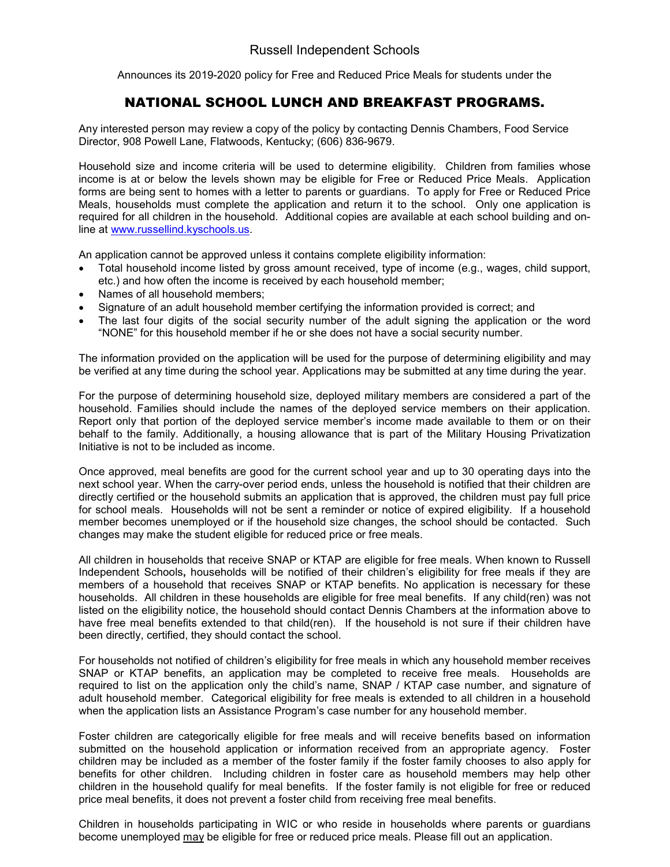Announces its 2019-2020 policy for Free and Reduced Price Meals for students under the

## NATIONAL SCHOOL LUNCH AND BREAKFAST PROGRAMS.

Any interested person may review a copy of the policy by contacting Dennis Chambers, Food Service Director, 908 Powell Lane, Flatwoods, Kentucky; (606) 836-9679.

Household size and income criteria will be used to determine eligibility. Children from families whose income is at or below the levels shown may be eligible for Free or Reduced Price Meals. Application forms are being sent to homes with a letter to parents or guardians. To apply for Free or Reduced Price Meals, households must complete the application and return it to the school. Only one application is required for all children in the household. Additional copies are available at each school building and online at [www.russellind.kyschools.us.](http://www.russellind.kyschools.us/)

An application cannot be approved unless it contains complete eligibility information:

- Total household income listed by gross amount received, type of income (e.g., wages, child support, etc.) and how often the income is received by each household member;
- Names of all household members;
- Signature of an adult household member certifying the information provided is correct; and
- The last four digits of the social security number of the adult signing the application or the word "NONE" for this household member if he or she does not have a social security number.

The information provided on the application will be used for the purpose of determining eligibility and may be verified at any time during the school year. Applications may be submitted at any time during the year.

For the purpose of determining household size, deployed military members are considered a part of the household. Families should include the names of the deployed service members on their application. Report only that portion of the deployed service member's income made available to them or on their behalf to the family. Additionally, a housing allowance that is part of the Military Housing Privatization Initiative is not to be included as income.

Once approved, meal benefits are good for the current school year and up to 30 operating days into the next school year. When the carry-over period ends, unless the household is notified that their children are directly certified or the household submits an application that is approved, the children must pay full price for school meals. Households will not be sent a reminder or notice of expired eligibility. If a household member becomes unemployed or if the household size changes, the school should be contacted. Such changes may make the student eligible for reduced price or free meals.

All children in households that receive SNAP or KTAP are eligible for free meals. When known to Russell Independent Schools**,** households will be notified of their children's eligibility for free meals if they are members of a household that receives SNAP or KTAP benefits. No application is necessary for these households. All children in these households are eligible for free meal benefits. If any child(ren) was not listed on the eligibility notice, the household should contact Dennis Chambers at the information above to have free meal benefits extended to that child(ren). If the household is not sure if their children have been directly, certified, they should contact the school.

For households not notified of children's eligibility for free meals in which any household member receives SNAP or KTAP benefits, an application may be completed to receive free meals. Households are required to list on the application only the child's name, SNAP / KTAP case number, and signature of adult household member. Categorical eligibility for free meals is extended to all children in a household when the application lists an Assistance Program's case number for any household member.

Foster children are categorically eligible for free meals and will receive benefits based on information submitted on the household application or information received from an appropriate agency. Foster children may be included as a member of the foster family if the foster family chooses to also apply for benefits for other children. Including children in foster care as household members may help other children in the household qualify for meal benefits. If the foster family is not eligible for free or reduced price meal benefits, it does not prevent a foster child from receiving free meal benefits.

Children in households participating in WIC or who reside in households where parents or guardians become unemployed may be eligible for free or reduced price meals. Please fill out an application.